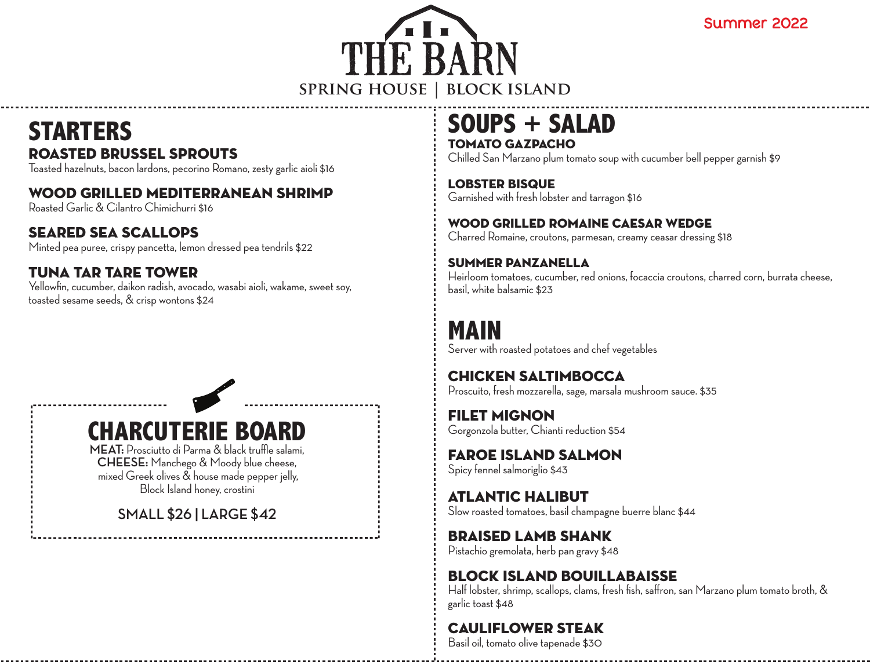Summer 2022



### **SOUPS + SALAD** Tomato Gazpacho

Chilled San Marzano plum tomato soup with cucumber bell pepper garnish \$9

Lobster Bisque Garnished with fresh lobster and tarragon \$16

#### Wood Grilled Romaine Caesar Wedge

Charred Romaine, croutons, parmesan, creamy ceasar dressing \$18

#### Summer Panzanella

Heirloom tomatoes, cucumber, red onions, focaccia croutons, charred corn, burrata cheese, basil, white balsamic \$23

# **MAIN**

Server with roasted potatoes and chef vegetables

Chicken Saltimbocca Proscuito, fresh mozzarella, sage, marsala mushroom sauce. \$35

Filet Mignon Gorgonzola butter, Chianti reduction \$54

Faroe Island Salmon Spicy fennel salmoriglio \$43

Atlantic Halibut Slow roasted tomatoes, basil champagne buerre blanc \$44

Braised Lamb Shank Pistachio gremolata, herb pan gravy \$48

#### Block island Bouillabaisse Half lobster, shrimp, scallops, clams, fresh fish, saffron, san Marzano plum tomato broth, & garlic toast \$48

## Cauliflower Steak

Basil oil, tomato olive tapenade \$30

# **STARTERS** Roasted Brussel Sprouts

Toasted hazelnuts, bacon lardons, pecorino Romano, zesty garlic aioli \$16

#### WOOD GRILLED MEDITERRANEAN SHRIMP

Roasted Garlic & Cilantro Chimichurri \$16

#### Seared Sea Scallops

Minted pea puree, crispy pancetta, lemon dressed pea tendrils \$22

#### Tuna Tar Tare Tower

Yellowfin, cucumber, daikon radish, avocado, wasabi aioli, wakame, sweet soy, toasted sesame seeds, & crisp wontons \$24

**CHARCUTERIE BOARD**

**MEAT:** Prosciutto di Parma & black truffle salami, **CHEESE:** Manchego & Moody blue cheese, mixed Greek olives & house made pepper jelly, Block Island honey, crostini

**SMALL \$26 | LARGE \$42**